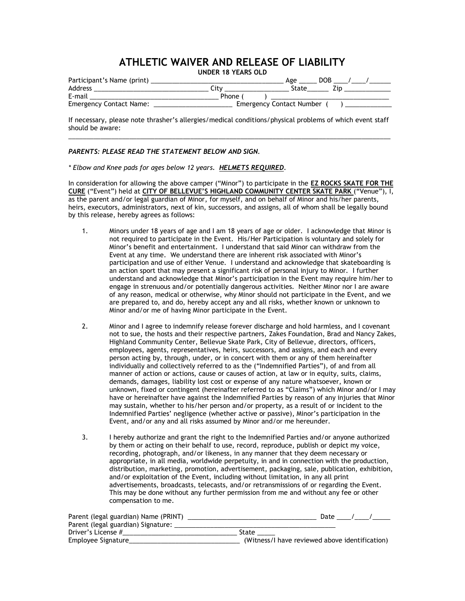## **ATHLETIC WAIVER AND RELEASE OF LIABILITY**

**UNDER 18 YEARS OLD**

| Participant's Name (print)     | DOB<br>Age                      |
|--------------------------------|---------------------------------|
| Address                        | State<br>√it∨.                  |
| E-mail                         | Phone (                         |
| <b>Emergency Contact Name:</b> | <b>Emergency Contact Number</b> |

If necessary, please note thrasher's allergies/medical conditions/physical problems of which event staff should be aware:  $\overline{a}$  , and the contribution of the contribution of the contribution of the contribution of the contribution of the contribution of the contribution of the contribution of the contribution of the contribution of the co

## *PARENTS: PLEASE READ THE STATEMENT BELOW AND SIGN.*

*\* Elbow and Knee pads for ages below 12 years. HELMETS REQUIRED.*

In consideration for allowing the above camper ("Minor") to participate in the **EZ ROCKS SKATE FOR THE CURE** ("Event") held at **CITY OF BELLEVUE'S HIGHLAND COMMUNITY CENTER SKATE PARK** ("Venue"), I, as the parent and/or legal guardian of Minor, for myself, and on behalf of Minor and his/her parents, heirs, executors, administrators, next of kin, successors, and assigns, all of whom shall be legally bound by this release, hereby agrees as follows:

- 1. Minors under 18 years of age and I am 18 years of age or older. I acknowledge that Minor is not required to participate in the Event. His/Her Participation is voluntary and solely for Minor's benefit and entertainment. I understand that said Minor can withdraw from the Event at any time. We understand there are inherent risk associated with Minor's participation and use of either Venue. I understand and acknowledge that skateboarding is an action sport that may present a significant risk of personal injury to Minor. I further understand and acknowledge that Minor's participation in the Event may require him/her to engage in strenuous and/or potentially dangerous activities. Neither Minor nor I are aware of any reason, medical or otherwise, why Minor should not participate in the Event, and we are prepared to, and do, hereby accept any and all risks, whether known or unknown to Minor and/or me of having Minor participate in the Event.
- 2. Minor and I agree to indemnify release forever discharge and hold harmless, and I covenant not to sue, the hosts and their respective partners, Zakes Foundation, Brad and Nancy Zakes, Highland Community Center, Bellevue Skate Park, City of Bellevue, directors, officers, employees, agents, representatives, heirs, successors, and assigns, and each and every person acting by, through, under, or in concert with them or any of them hereinafter individually and collectively referred to as the ("Indemnified Parties"), of and from all manner of action or actions, cause or causes of action, at law or in equity, suits, claims, demands, damages, liability lost cost or expense of any nature whatsoever, known or unknown, fixed or contingent (hereinafter referred to as "Claims") which Minor and/or I may have or hereinafter have against the Indemnified Parties by reason of any injuries that Minor may sustain, whether to his/her person and/or property, as a result of or incident to the Indemnified Parties' negligence (whether active or passive), Minor's participation in the Event, and/or any and all risks assumed by Minor and/or me hereunder.
- 3. I hereby authorize and grant the right to the Indemnified Parties and/or anyone authorized by them or acting on their behalf to use, record, reproduce, publish or depict my voice, recording, photograph, and/or likeness, in any manner that they deem necessary or appropriate, in all media, worldwide perpetuity, in and in connection with the production, distribution, marketing, promotion, advertisement, packaging, sale, publication, exhibition, and/or exploitation of the Event, including without limitation, in any all print advertisements, broadcasts, telecasts, and/or retransmissions of or regarding the Event. This may be done without any further permission from me and without any fee or other compensation to me.

| Parent (legal guardian) Name (PRINT) | Date                                           |
|--------------------------------------|------------------------------------------------|
| Parent (legal guardian) Signature:   |                                                |
| Driver's License #                   | State                                          |
| Employee Signature                   | (Witness/I have reviewed above identification) |